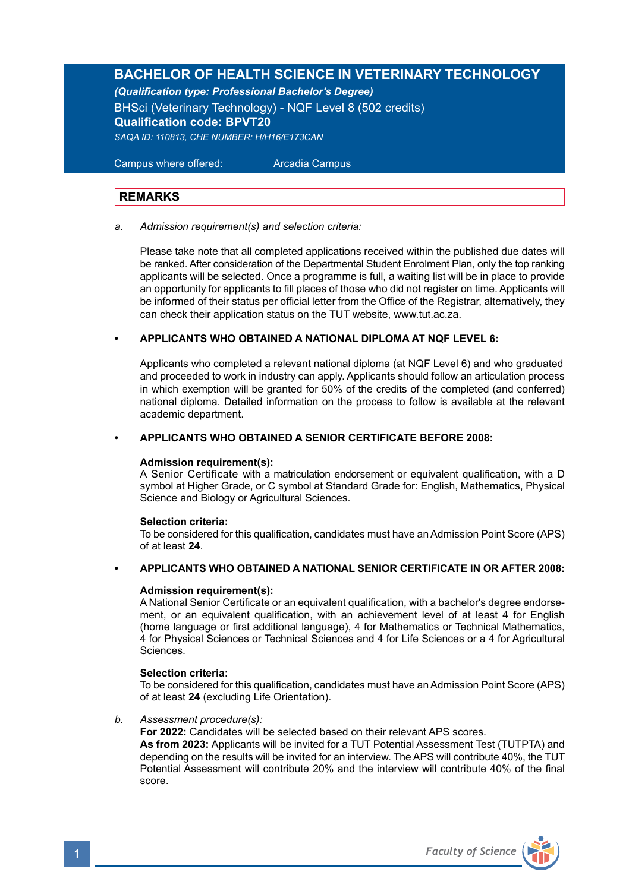# **BACHELOR OF HEALTH SCIENCE IN VETERINARY TECHNOLOGY**

*(Qualification type: Professional Bachelor's Degree)*

BHSci (Veterinary Technology) - NQF Level 8 (502 credits) **Qualification code: BPVT20** *SAQA ID: 110813, CHE NUMBER: H/H16/E173CAN*

 Campus where offered: Arcadia Campus

# **REMARKS**

#### *a. Admission requirement(s) and selection criteria:*

Please take note that all completed applications received within the published due dates will be ranked. After consideration of the Departmental Student Enrolment Plan, only the top ranking applicants will be selected. Once a programme is full, a waiting list will be in place to provide an opportunity for applicants to fill places of those who did not register on time. Applicants will be informed of their status per official letter from the Office of the Registrar, alternatively, they can check their application status on the TUT website, www.tut.ac.za.

#### **• APPLICANTS WHO OBTAINED A NATIONAL DIPLOMA AT NQF LEVEL 6:**

Applicants who completed a relevant national diploma (at NQF Level 6) and who graduated and proceeded to work in industry can apply. Applicants should follow an articulation process in which exemption will be granted for 50% of the credits of the completed (and conferred) national diploma. Detailed information on the process to follow is available at the relevant academic department.

#### **• APPLICANTS WHO OBTAINED A SENIOR CERTIFICATE BEFORE 2008:**

#### **Admission requirement(s):**

A Senior Certificate with a matriculation endorsement or equivalent qualification, with a D symbol at Higher Grade, or C symbol at Standard Grade for: English, Mathematics, Physical Science and Biology or Agricultural Sciences.

# **Selection criteria:**

To be considered for this qualification, candidates must have an Admission Point Score (APS) of at least **24**.

#### **• APPLICANTS WHO OBTAINED A NATIONAL SENIOR CERTIFICATE IN OR AFTER 2008:**

#### **Admission requirement(s):**

A National Senior Certificate or an equivalent qualification, with a bachelor's degree endorsement, or an equivalent qualification, with an achievement level of at least 4 for English (home language or first additional language), 4 for Mathematics or Technical Mathematics, 4 for Physical Sciences or Technical Sciences and 4 for Life Sciences or a 4 for Agricultural Sciences.

#### **Selection criteria:**

To be considered for this qualification, candidates must have an Admission Point Score (APS) of at least **24** (excluding Life Orientation).

*b. Assessment procedure(s):*

**For 2022:** Candidates will be selected based on their relevant APS scores.

**As from 2023:** Applicants will be invited for a TUT Potential Assessment Test (TUTPTA) and depending on the results will be invited for an interview. The APS will contribute 40%, the TUT Potential Assessment will contribute 20% and the interview will contribute 40% of the final score.

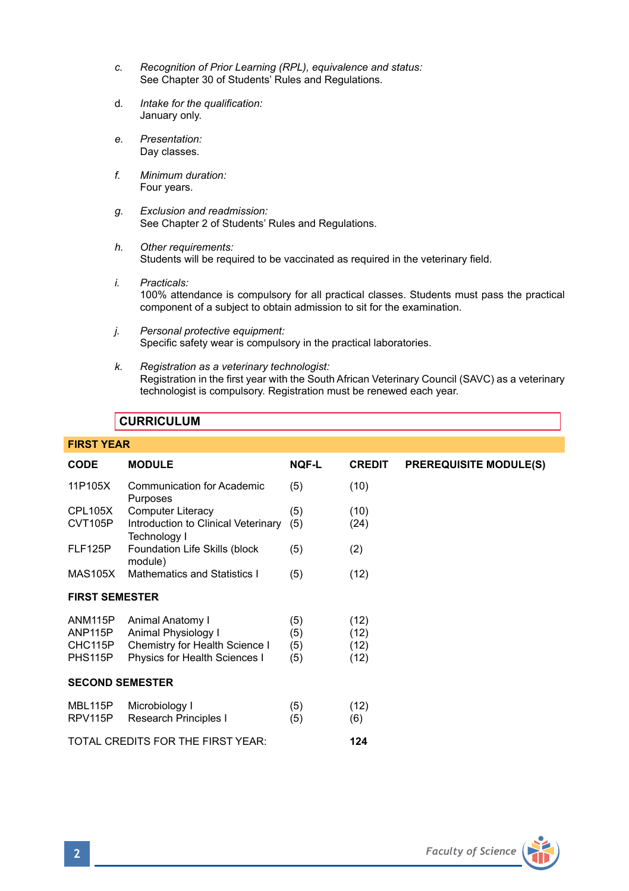- *c. Recognition of Prior Learning (RPL), equivalence and status:* See Chapter 30 of Students' Rules and Regulations.
- d*. Intake for the qualification:*  January only.
- *e. Presentation:*  Day classes.
- *f. Minimum duration:* Four years.
- *g. Exclusion and readmission:* See Chapter 2 of Students' Rules and Regulations.
- *h. Other requirements:* Students will be required to be vaccinated as required in the veterinary field.
- *i. Practicals:* 100% attendance is compulsory for all practical classes. Students must pass the practical component of a subject to obtain admission to sit for the examination.
- *j. Personal protective equipment:* Specific safety wear is compulsory in the practical laboratories.
- *k. Registration as a veterinary technologist:* Registration in the first year with the South African Veterinary Council (SAVC) as a veterinary technologist is compulsory. Registration must be renewed each year.

# **CURRICULUM**

| <b>FIRST YEAR</b>                                     |                                                                                                            |                          |                              |                               |  |
|-------------------------------------------------------|------------------------------------------------------------------------------------------------------------|--------------------------|------------------------------|-------------------------------|--|
| <b>CODE</b>                                           | <b>MODULE</b>                                                                                              | <b>NOF-L</b>             | <b>CREDIT</b>                | <b>PREREQUISITE MODULE(S)</b> |  |
| 11P105X                                               | <b>Communication for Academic</b><br>Purposes                                                              | (5)                      | (10)                         |                               |  |
| CPL105X                                               | <b>Computer Literacy</b>                                                                                   | (5)                      | (10)                         |                               |  |
| CVT105P                                               | Introduction to Clinical Veterinary<br>Technology I                                                        | (5)                      | (24)                         |                               |  |
| FLF125P                                               | Foundation Life Skills (block<br>module)                                                                   | (5)                      | (2)                          |                               |  |
| MAS105X                                               | Mathematics and Statistics I                                                                               | (5)                      | (12)                         |                               |  |
| <b>FIRST SEMESTER</b>                                 |                                                                                                            |                          |                              |                               |  |
| ANM115P<br>ANP <sub>115</sub> P<br>CHC115P<br>PHS115P | Animal Anatomy I<br>Animal Physiology I<br>Chemistry for Health Science I<br>Physics for Health Sciences I | (5)<br>(5)<br>(5)<br>(5) | (12)<br>(12)<br>(12)<br>(12) |                               |  |
| <b>SECOND SEMESTER</b>                                |                                                                                                            |                          |                              |                               |  |
| MBL115P<br>RPV115P                                    | Microbiology I<br>Research Principles I                                                                    | (5)<br>(5)               | (12)<br>(6)                  |                               |  |
| TOTAL CREDITS FOR THE FIRST YEAR:<br>124              |                                                                                                            |                          |                              |                               |  |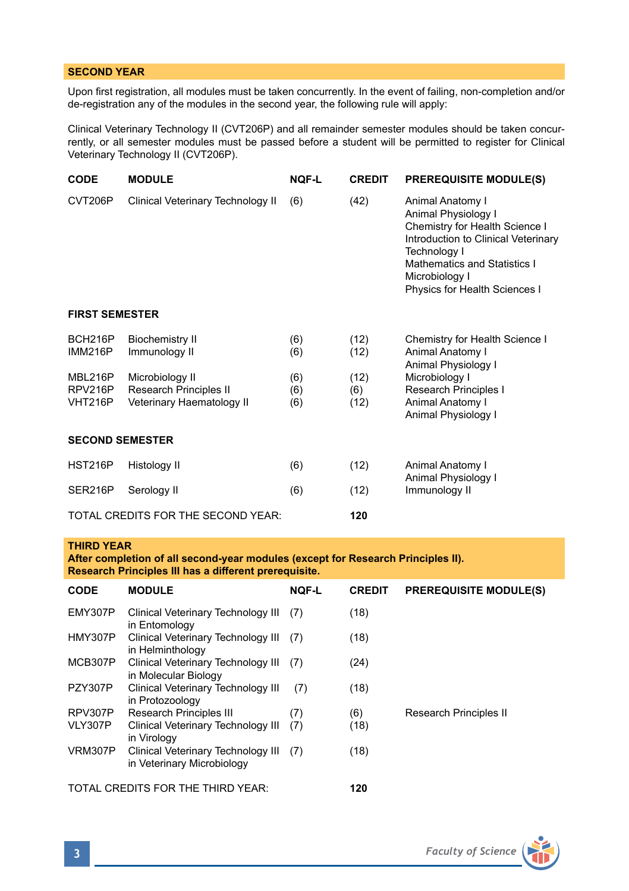# **SECOND YEAR**

Upon first registration, all modules must be taken concurrently. In the event of failing, non-completion and/or de-registration any of the modules in the second year, the following rule will apply:

Clinical Veterinary Technology II (CVT206P) and all remainder semester modules should be taken concurrently, or all semester modules must be passed before a student will be permitted to register for Clinical Veterinary Technology II (CVT206P).

| <b>CODE</b>                               | <b>MODULE</b>                           | <b>NOF-L</b> | <b>CREDIT</b> | <b>PREREQUISITE MODULE(S)</b>                                                                                                                                                                                       |  |  |
|-------------------------------------------|-----------------------------------------|--------------|---------------|---------------------------------------------------------------------------------------------------------------------------------------------------------------------------------------------------------------------|--|--|
| CVT206P                                   | Clinical Veterinary Technology II       | (6)          | (42)          | Animal Anatomy I<br>Animal Physiology I<br>Chemistry for Health Science I<br>Introduction to Clinical Veterinary<br>Technology I<br>Mathematics and Statistics I<br>Microbiology I<br>Physics for Health Sciences I |  |  |
| <b>FIRST SEMESTER</b>                     |                                         |              |               |                                                                                                                                                                                                                     |  |  |
| BCH216P<br><b>IMM216P</b>                 | <b>Biochemistry II</b><br>Immunology II | (6)<br>(6)   | (12)<br>(12)  | Chemistry for Health Science I<br>Animal Anatomy I<br>Animal Physiology I                                                                                                                                           |  |  |
| MBL216P                                   | Microbiology II                         | (6)          | (12)          | Microbiology I                                                                                                                                                                                                      |  |  |
| RPV216P                                   | Research Principles II                  | (6)          | (6)           | Research Principles I                                                                                                                                                                                               |  |  |
| VHT216P                                   | Veterinary Haematology II               | (6)          | (12)          | Animal Anatomy I<br>Animal Physiology I                                                                                                                                                                             |  |  |
| <b>SECOND SEMESTER</b>                    |                                         |              |               |                                                                                                                                                                                                                     |  |  |
| <b>HST216P</b>                            | Histology II                            | (6)          | (12)          | Animal Anatomy I<br>Animal Physiology I<br>Immunology II                                                                                                                                                            |  |  |
| SER216P                                   | Serology II                             | (6)          | (12)          |                                                                                                                                                                                                                     |  |  |
| TOTAL CREDITS FOR THE SECOND YEAR:<br>120 |                                         |              |               |                                                                                                                                                                                                                     |  |  |

### **THIRD YEAR**

**After completion of all second-year modules (except for Research Principles II). Research Principles III has a different prerequisite.** 

| <b>CODE</b> | <b>MODULE</b>                                                        | <b>NOF-L</b> | <b>CREDIT</b> | <b>PREREQUISITE MODULE(S)</b> |
|-------------|----------------------------------------------------------------------|--------------|---------------|-------------------------------|
| EMY307P     | Clinical Veterinary Technology III<br>in Entomology                  | (7)          | (18)          |                               |
| HMY307P     | Clinical Veterinary Technology III<br>in Helminthology               | (7)          | (18)          |                               |
| MCB307P     | Clinical Veterinary Technology III<br>in Molecular Biology           | (7)          | (24)          |                               |
| PZY307P     | Clinical Veterinary Technology III<br>in Protozoology                | (7)          | (18)          |                               |
| RPV307P     | Research Principles III                                              | (7)          | (6)           | Research Principles II        |
| VLY307P     | Clinical Veterinary Technology III<br>in Virology                    | (7)          | (18)          |                               |
| VRM307P     | Clinical Veterinary Technology III (7)<br>in Veterinary Microbiology |              | (18)          |                               |
|             | TOTAL CREDITS FOR THE THIRD YEAR:                                    |              | 120           |                               |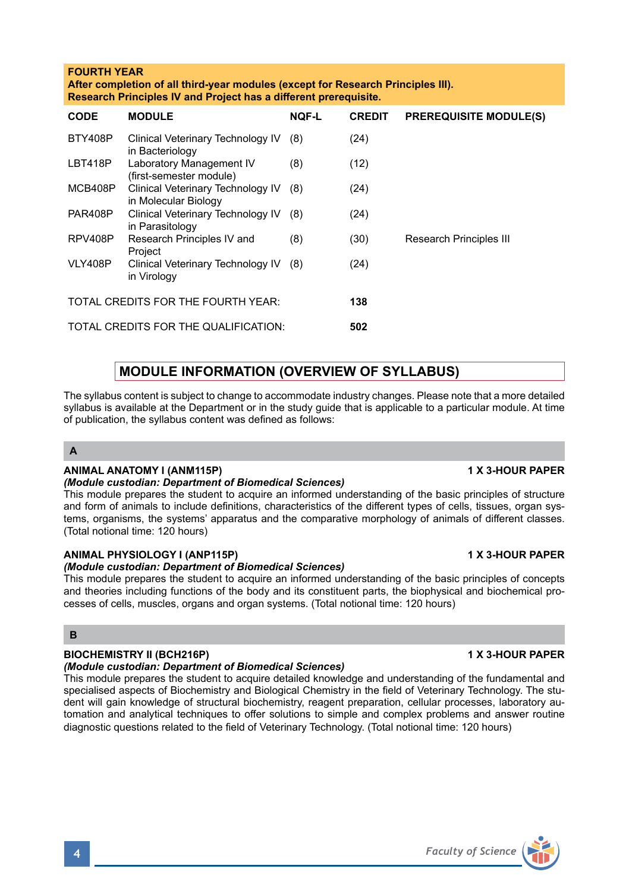# **FOURTH YEAR**

**After completion of all third-year modules (except for Research Principles III). Research Principles IV and Project has a different prerequisite.** 

| <b>CODE</b>                          | <b>MODULE</b>                                                 | <b>NOF-L</b> | <b>CREDIT</b> | <b>PREREQUISITE MODULE(S)</b> |
|--------------------------------------|---------------------------------------------------------------|--------------|---------------|-------------------------------|
| BTY408P                              | Clinical Veterinary Technology IV<br>in Bacteriology          | (8)          | (24)          |                               |
| LBT418P                              | Laboratory Management IV<br>(first-semester module)           | (8)          | (12)          |                               |
| MCB408P                              | Clinical Veterinary Technology IV (8)<br>in Molecular Biology |              | (24)          |                               |
| PAR408P                              | Clinical Veterinary Technology IV<br>in Parasitology          | (8)          | (24)          |                               |
| RPV408P                              | Research Principles IV and<br>Project                         | (8)          | (30)          | Research Principles III       |
| VLY408P                              | Clinical Veterinary Technology IV<br>in Virology              | (8)          | (24)          |                               |
| TOTAL CREDITS FOR THE FOURTH YEAR:   |                                                               |              | 138           |                               |
| TOTAL CREDITS FOR THE QUALIFICATION: |                                                               |              | 502           |                               |

# **MODULE INFORMATION (OVERVIEW OF SYLLABUS)**

The syllabus content is subject to change to accommodate industry changes. Please note that a more detailed syllabus is available at the Department or in the study guide that is applicable to a particular module. At time of publication, the syllabus content was defined as follows:

# **A**

# **ANIMAL ANATOMY I (ANM115P) 1 X 3-HOUR PAPER**

*(Module custodian: Department of Biomedical Sciences)*

This module prepares the student to acquire an informed understanding of the basic principles of structure and form of animals to include definitions, characteristics of the different types of cells, tissues, organ systems, organisms, the systems' apparatus and the comparative morphology of animals of different classes. (Total notional time: 120 hours)

## **ANIMAL PHYSIOLOGY I (ANP115P) 1 X 3-HOUR PAPER**

*(Module custodian: Department of Biomedical Sciences)*

This module prepares the student to acquire an informed understanding of the basic principles of concepts and theories including functions of the body and its constituent parts, the biophysical and biochemical processes of cells, muscles, organs and organ systems. (Total notional time: 120 hours)

### **B**

# **BIOCHEMISTRY II (BCH216P)** 1 X 3-HOUR PAPER

# *(Module custodian: Department of Biomedical Sciences)*

This module prepares the student to acquire detailed knowledge and understanding of the fundamental and specialised aspects of Biochemistry and Biological Chemistry in the field of Veterinary Technology. The student will gain knowledge of structural biochemistry, reagent preparation, cellular processes, laboratory automation and analytical techniques to offer solutions to simple and complex problems and answer routine diagnostic questions related to the field of Veterinary Technology. (Total notional time: 120 hours)

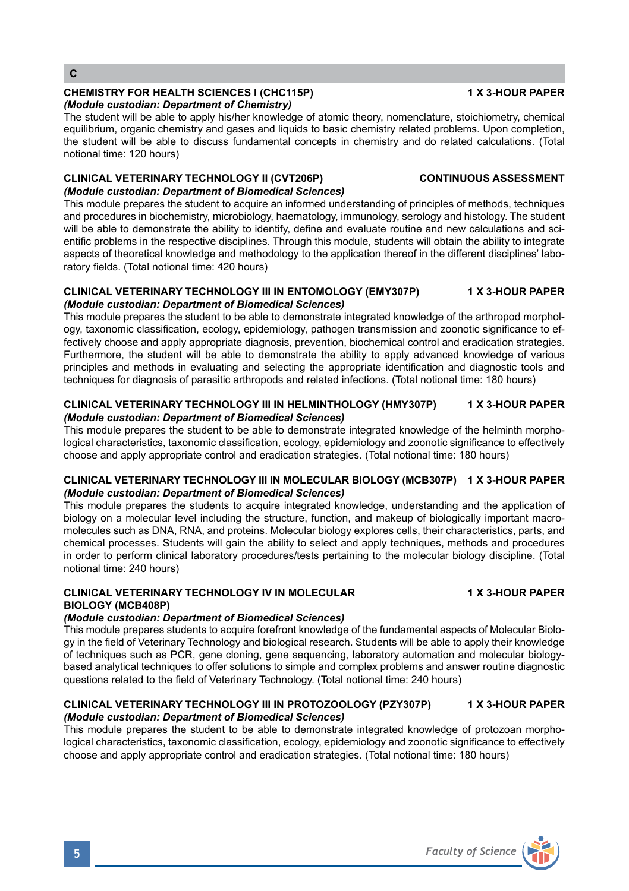**C**

#### **CHEMISTRY FOR HEALTH SCIENCES I (CHC115P) 1 X 3-HOUR PAPER** *(Module custodian: Department of Chemistry)*

The student will be able to apply his/her knowledge of atomic theory, nomenclature, stoichiometry, chemical equilibrium, organic chemistry and gases and liquids to basic chemistry related problems. Upon completion, the student will be able to discuss fundamental concepts in chemistry and do related calculations. (Total notional time: 120 hours)

# **CLINICAL VETERINARY TECHNOLOGY II (CVT206P) CONTINUOUS ASSESSMENT**

## *(Module custodian: Department of Biomedical Sciences)*

This module prepares the student to acquire an informed understanding of principles of methods, techniques and procedures in biochemistry, microbiology, haematology, immunology, serology and histology. The student will be able to demonstrate the ability to identify, define and evaluate routine and new calculations and scientific problems in the respective disciplines. Through this module, students will obtain the ability to integrate aspects of theoretical knowledge and methodology to the application thereof in the different disciplines' laboratory fields. (Total notional time: 420 hours)

### **CLINICAL VETERINARY TECHNOLOGY III IN ENTOMOLOGY (EMY307P) 1 X 3-HOUR PAPER** *(Module custodian: Department of Biomedical Sciences)*

This module prepares the student to be able to demonstrate integrated knowledge of the arthropod morphology, taxonomic classification, ecology, epidemiology, pathogen transmission and zoonotic significance to effectively choose and apply appropriate diagnosis, prevention, biochemical control and eradication strategies. Furthermore, the student will be able to demonstrate the ability to apply advanced knowledge of various principles and methods in evaluating and selecting the appropriate identification and diagnostic tools and techniques for diagnosis of parasitic arthropods and related infections. (Total notional time: 180 hours)

### **CLINICAL VETERINARY TECHNOLOGY III IN HELMINTHOLOGY (HMY307P) 1 X 3-HOUR PAPER** *(Module custodian: Department of Biomedical Sciences)*

This module prepares the student to be able to demonstrate integrated knowledge of the helminth morphological characteristics, taxonomic classification, ecology, epidemiology and zoonotic significance to effectively choose and apply appropriate control and eradication strategies. (Total notional time: 180 hours)

# **CLINICAL VETERINARY TECHNOLOGY III IN MOLECULAR BIOLOGY (MCB307P) 1 X 3-HOUR PAPER** *(Module custodian: Department of Biomedical Sciences)*

This module prepares the students to acquire integrated knowledge, understanding and the application of biology on a molecular level including the structure, function, and makeup of biologically important macromolecules such as DNA, RNA, and proteins. Molecular biology explores cells, their characteristics, parts, and chemical processes. Students will gain the ability to select and apply techniques, methods and procedures in order to perform clinical laboratory procedures/tests pertaining to the molecular biology discipline. (Total notional time: 240 hours)

# **CLINICAL VETERINARY TECHNOLOGY IV IN MOLECULAR 1 X 3-HOUR PAPER BIOLOGY (MCB408P)**

# *(Module custodian: Department of Biomedical Sciences)*

This module prepares students to acquire forefront knowledge of the fundamental aspects of Molecular Biology in the field of Veterinary Technology and biological research. Students will be able to apply their knowledge of techniques such as PCR, gene cloning, gene sequencing, laboratory automation and molecular biologybased analytical techniques to offer solutions to simple and complex problems and answer routine diagnostic questions related to the field of Veterinary Technology. (Total notional time: 240 hours)

#### **CLINICAL VETERINARY TECHNOLOGY III IN PROTOZOOLOGY (PZY307P) 1 X 3-HOUR PAPER** *(Module custodian: Department of Biomedical Sciences)*

This module prepares the student to be able to demonstrate integrated knowledge of protozoan morphological characteristics, taxonomic classification, ecology, epidemiology and zoonotic significance to effectively choose and apply appropriate control and eradication strategies. (Total notional time: 180 hours)

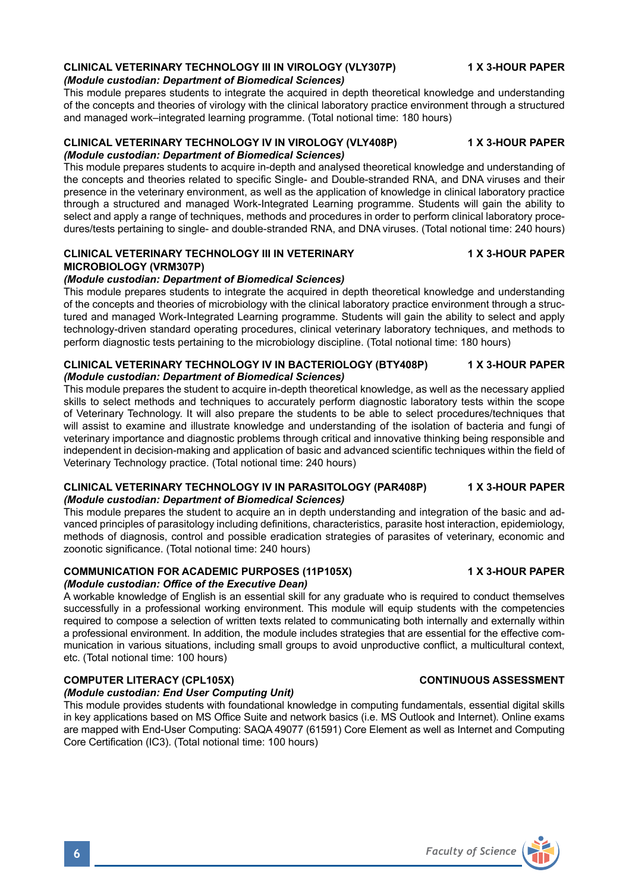# **CLINICAL VETERINARY TECHNOLOGY III IN VIROLOGY (VLY307P) 4X 3-HOUR PAPER**

#### *(Module custodian: Department of Biomedical Sciences)*

This module prepares students to integrate the acquired in depth theoretical knowledge and understanding of the concepts and theories of virology with the clinical laboratory practice environment through a structured and managed work–integrated learning programme. (Total notional time: 180 hours)

#### **CLINICAL VETERINARY TECHNOLOGY IV IN VIROLOGY (VLY408P) 1 X 3-HOUR PAPER**  *(Module custodian: Department of Biomedical Sciences)*

This module prepares students to acquire in-depth and analysed theoretical knowledge and understanding of the concepts and theories related to specific Single- and Double-stranded RNA, and DNA viruses and their presence in the veterinary environment, as well as the application of knowledge in clinical laboratory practice through a structured and managed Work-Integrated Learning programme. Students will gain the ability to select and apply a range of techniques, methods and procedures in order to perform clinical laboratory procedures/tests pertaining to single- and double-stranded RNA, and DNA viruses. (Total notional time: 240 hours)

#### **CLINICAL VETERINARY TECHNOLOGY III IN VETERINARY 1 ASSESSION CLINICAL VETERINARY MICROBIOLOGY (VRM307P)**

### *(Module custodian: Department of Biomedical Sciences)*

This module prepares students to integrate the acquired in depth theoretical knowledge and understanding of the concepts and theories of microbiology with the clinical laboratory practice environment through a structured and managed Work-Integrated Learning programme. Students will gain the ability to select and apply technology-driven standard operating procedures, clinical veterinary laboratory techniques, and methods to perform diagnostic tests pertaining to the microbiology discipline. (Total notional time: 180 hours)

#### **CLINICAL VETERINARY TECHNOLOGY IV IN BACTERIOLOGY (BTY408P) 1 X 3-HOUR PAPER** *(Module custodian: Department of Biomedical Sciences)*

This module prepares the student to acquire in-depth theoretical knowledge, as well as the necessary applied skills to select methods and techniques to accurately perform diagnostic laboratory tests within the scope of Veterinary Technology. It will also prepare the students to be able to select procedures/techniques that will assist to examine and illustrate knowledge and understanding of the isolation of bacteria and fungi of veterinary importance and diagnostic problems through critical and innovative thinking being responsible and independent in decision-making and application of basic and advanced scientific techniques within the field of Veterinary Technology practice. (Total notional time: 240 hours)

#### **CLINICAL VETERINARY TECHNOLOGY IV IN PARASITOLOGY (PAR408P) 1 X 3-HOUR PAPER**  *(Module custodian: Department of Biomedical Sciences)*

This module prepares the student to acquire an in depth understanding and integration of the basic and advanced principles of parasitology including definitions, characteristics, parasite host interaction, epidemiology, methods of diagnosis, control and possible eradication strategies of parasites of veterinary, economic and zoonotic significance. (Total notional time: 240 hours)

# **COMMUNICATION FOR ACADEMIC PURPOSES (11P105X) 1 X 3-HOUR PAPER**

# *(Module custodian: Office of the Executive Dean)*

A workable knowledge of English is an essential skill for any graduate who is required to conduct themselves successfully in a professional working environment. This module will equip students with the competencies required to compose a selection of written texts related to communicating both internally and externally within a professional environment. In addition, the module includes strategies that are essential for the effective communication in various situations, including small groups to avoid unproductive conflict, a multicultural context, etc. (Total notional time: 100 hours)

# **COMPUTER LITERACY (CPL105X)** CONTINUOUS ASSESSMENT

### *(Module custodian: End User Computing Unit)*

This module provides students with foundational knowledge in computing fundamentals, essential digital skills in key applications based on MS Office Suite and network basics (i.e. MS Outlook and Internet). Online exams are mapped with End-User Computing: SAQA 49077 (61591) Core Element as well as Internet and Computing Core Certification (IC3). (Total notional time: 100 hours)

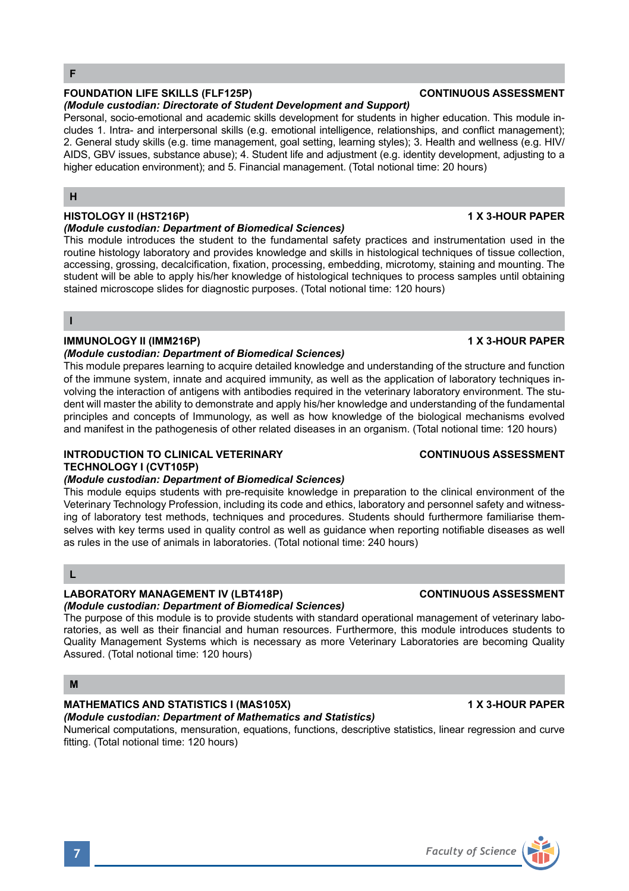#### **FOUNDATION LIFE SKILLS (FLF125P) CONTINUOUS ASSESSMENT**

#### *(Module custodian: Directorate of Student Development and Support)*

Personal, socio-emotional and academic skills development for students in higher education. This module includes 1. Intra- and interpersonal skills (e.g. emotional intelligence, relationships, and conflict management); 2. General study skills (e.g. time management, goal setting, learning styles); 3. Health and wellness (e.g. HIV/ AIDS, GBV issues, substance abuse); 4. Student life and adjustment (e.g. identity development, adjusting to a higher education environment); and 5. Financial management. (Total notional time: 20 hours)

# **H**

### **HISTOLOGY II (HST216P)** 1 X 3-HOUR PAPER

#### *(Module custodian: Department of Biomedical Sciences)*

This module introduces the student to the fundamental safety practices and instrumentation used in the routine histology laboratory and provides knowledge and skills in histological techniques of tissue collection, accessing, grossing, decalcification, fixation, processing, embedding, microtomy, staining and mounting. The student will be able to apply his/her knowledge of histological techniques to process samples until obtaining stained microscope slides for diagnostic purposes. (Total notional time: 120 hours)

#### **I**

### **IMMUNOLOGY II (IMM216P) 1 X 3-HOUR PAPER**

#### *(Module custodian: Department of Biomedical Sciences)*

This module prepares learning to acquire detailed knowledge and understanding of the structure and function of the immune system, innate and acquired immunity, as well as the application of laboratory techniques involving the interaction of antigens with antibodies required in the veterinary laboratory environment. The student will master the ability to demonstrate and apply his/her knowledge and understanding of the fundamental principles and concepts of Immunology, as well as how knowledge of the biological mechanisms evolved and manifest in the pathogenesis of other related diseases in an organism. (Total notional time: 120 hours)

# **INTRODUCTION TO CLINICAL VETERINARY CONTINUOUS ASSESSMENT TECHNOLOGY I (CVT105P)**

#### *(Module custodian: Department of Biomedical Sciences)*

This module equips students with pre-requisite knowledge in preparation to the clinical environment of the Veterinary Technology Profession, including its code and ethics, laboratory and personnel safety and witnessing of laboratory test methods, techniques and procedures. Students should furthermore familiarise themselves with key terms used in quality control as well as guidance when reporting notifiable diseases as well as rules in the use of animals in laboratories. (Total notional time: 240 hours)

### **L**

#### **LABORATORY MANAGEMENT IV (LBT418P) CONTINUOUS ASSESSMENT** *(Module custodian: Department of Biomedical Sciences)*

The purpose of this module is to provide students with standard operational management of veterinary laboratories, as well as their financial and human resources. Furthermore, this module introduces students to Quality Management Systems which is necessary as more Veterinary Laboratories are becoming Quality Assured. (Total notional time: 120 hours)

### **M**

#### **MATHEMATICS AND STATISTICS I (MAS105X)** 1 X 3-HOUR PAPER *(Module custodian: Department of Mathematics and Statistics)*

#### Numerical computations, mensuration, equations, functions, descriptive statistics, linear regression and curve fitting. (Total notional time: 120 hours)

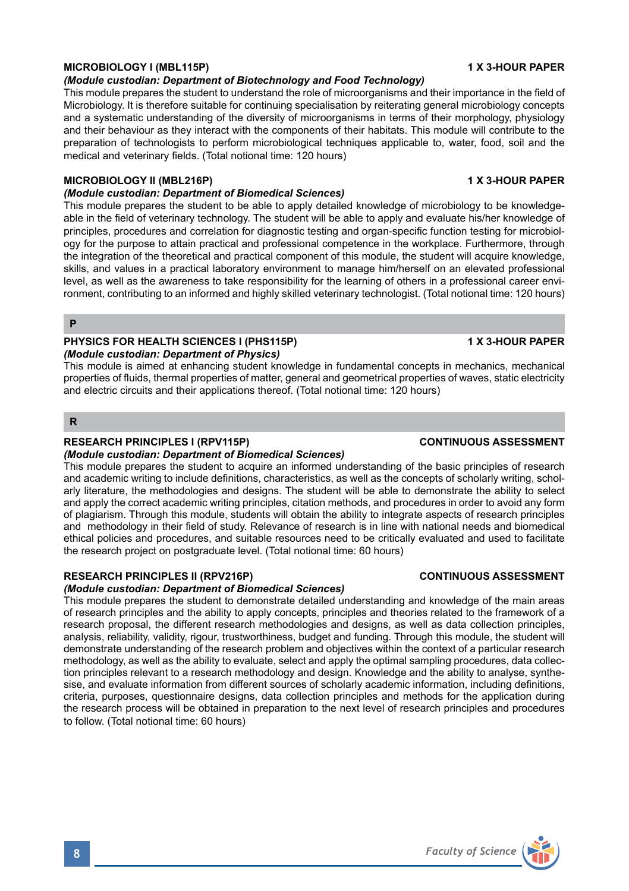# **MICROBIOLOGY I (MBL115P) 1 X 3-HOUR PAPER**

#### *(Module custodian: Department of Biotechnology and Food Technology)*

This module prepares the student to understand the role of microorganisms and their importance in the field of Microbiology. It is therefore suitable for continuing specialisation by reiterating general microbiology concepts and a systematic understanding of the diversity of microorganisms in terms of their morphology, physiology and their behaviour as they interact with the components of their habitats. This module will contribute to the preparation of technologists to perform microbiological techniques applicable to, water, food, soil and the medical and veterinary fields. (Total notional time: 120 hours)

#### **MICROBIOLOGY II (MBL216P)** 1 X 3-HOUR PAPER

## *(Module custodian: Department of Biomedical Sciences)*

This module prepares the student to be able to apply detailed knowledge of microbiology to be knowledgeable in the field of veterinary technology. The student will be able to apply and evaluate his/her knowledge of principles, procedures and correlation for diagnostic testing and organ-specific function testing for microbiology for the purpose to attain practical and professional competence in the workplace. Furthermore, through the integration of the theoretical and practical component of this module, the student will acquire knowledge, skills, and values in a practical laboratory environment to manage him/herself on an elevated professional level, as well as the awareness to take responsibility for the learning of others in a professional career environment, contributing to an informed and highly skilled veterinary technologist. (Total notional time: 120 hours)

#### **P**

#### **PHYSICS FOR HEALTH SCIENCES I (PHS115P) 1 X 3-HOUR PAPER** *(Module custodian: Department of Physics)*

This module is aimed at enhancing student knowledge in fundamental concepts in mechanics, mechanical properties of fluids, thermal properties of matter, general and geometrical properties of waves, static electricity and electric circuits and their applications thereof. (Total notional time: 120 hours)

#### **R**

#### **RESEARCH PRINCIPLES I (RPV115P) CONTINUOUS ASSESSMENT**

#### *(Module custodian: Department of Biomedical Sciences)*

This module prepares the student to acquire an informed understanding of the basic principles of research and academic writing to include definitions, characteristics, as well as the concepts of scholarly writing, scholarly literature, the methodologies and designs. The student will be able to demonstrate the ability to select and apply the correct academic writing principles, citation methods, and procedures in order to avoid any form of plagiarism. Through this module, students will obtain the ability to integrate aspects of research principles and methodology in their field of study. Relevance of research is in line with national needs and biomedical ethical policies and procedures, and suitable resources need to be critically evaluated and used to facilitate the research project on postgraduate level. (Total notional time: 60 hours)

### **RESEARCH PRINCIPLES II (RPV216P) CONTINUOUS ASSESSMENT**

# *(Module custodian: Department of Biomedical Sciences)*

This module prepares the student to demonstrate detailed understanding and knowledge of the main areas of research principles and the ability to apply concepts, principles and theories related to the framework of a research proposal, the different research methodologies and designs, as well as data collection principles, analysis, reliability, validity, rigour, trustworthiness, budget and funding. Through this module, the student will demonstrate understanding of the research problem and objectives within the context of a particular research methodology, as well as the ability to evaluate, select and apply the optimal sampling procedures, data collection principles relevant to a research methodology and design. Knowledge and the ability to analyse, synthesise, and evaluate information from different sources of scholarly academic information, including definitions, criteria, purposes, questionnaire designs, data collection principles and methods for the application during the research process will be obtained in preparation to the next level of research principles and procedures to follow. (Total notional time: 60 hours)